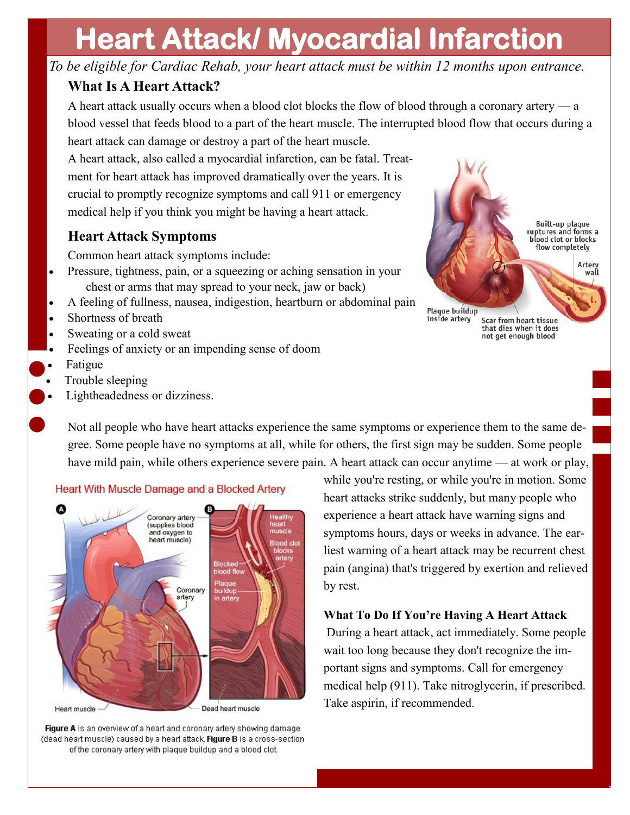# **Heart Attack/ Myocardial Infarction**

*To be eligible for Cardiac Rehab, your heart attack must be within 12 months upon entrance.*

### **What Is A Heart Attack?**

A heart attack usually occurs when a blood clot blocks the flow of blood through a coronary artery — a blood vessel that feeds blood to a part of the heart muscle. The interrupted blood flow that occurs during a heart attack can damage or destroy a part of the heart muscle.

A heart attack, also called a myocardial infarction, can be fatal. Treatment for heart attack has improved dramatically over the years. It is crucial to promptly recognize symptoms and call 911 or emergency medical help if you think you might be having a heart attack.

# **Heart Attack Symptoms**

Common heart attack symptoms include:

- Pressure, tightness, pain, or a squeezing or aching sensation in your chest or arms that may spread to your neck, jaw or back)
- A feeling of fullness, nausea, indigestion, heartburn or abdominal pain
- Shortness of breath
- Sweating or a cold sweat
- Feelings of anxiety or an impending sense of doom
- Fatigue
- Trouble sleeping
- Lightheadedness or dizziness.



**Plaque buildup** inside artery Scar from heart tissue that dies when it does not get enough blood

Not all people who have heart attacks experience the same symptoms or experience them to the same degree. Some people have no symptoms at all, while for others, the first sign may be sudden. Some people have mild pain, while others experience severe pain. A heart attack can occur anytime — at work or play,



#### Heart With Muscle Damage and a Blocked Artery

Figure A is an overview of a heart and coronary artery showing damage (dead heart muscle) caused by a heart attack. Figure B is a cross-section of the coronary artery with plaque buildup and a blood clot.

while you're resting, or while you're in motion. Some heart attacks strike suddenly, but many people who experience a heart attack have warning signs and symptoms hours, days or weeks in advance. The earliest warning of a heart attack may be recurrent chest pain (angina) that's triggered by exertion and relieved by rest.

#### **What To Do If You're Having A Heart Attack**

During a heart attack, act immediately. Some people wait too long because they don't recognize the important signs and symptoms. Call for emergency medical help (911). Take nitroglycerin, if prescribed. Take aspirin, if recommended.